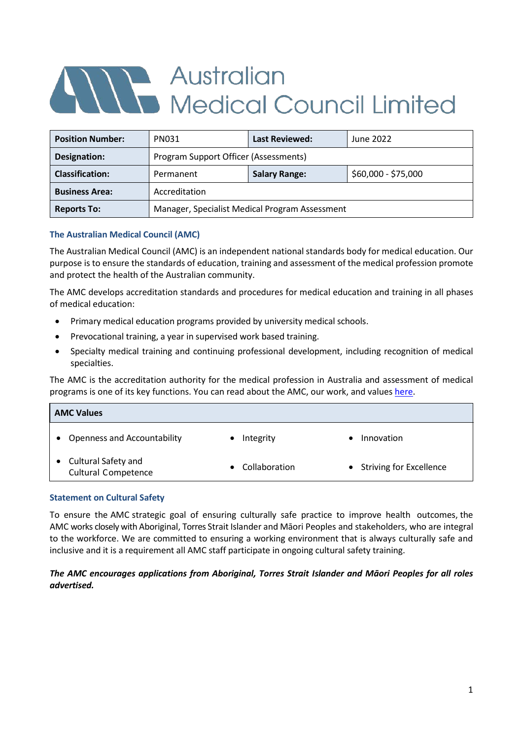# Alle Australian<br>Medical Council Limited

| <b>Position Number:</b> | PN031                                          | <b>Last Reviewed:</b> | June 2022           |
|-------------------------|------------------------------------------------|-----------------------|---------------------|
| Designation:            | Program Support Officer (Assessments)          |                       |                     |
| <b>Classification:</b>  | Permanent                                      | <b>Salary Range:</b>  | \$60,000 - \$75,000 |
| <b>Business Area:</b>   | Accreditation                                  |                       |                     |
| <b>Reports To:</b>      | Manager, Specialist Medical Program Assessment |                       |                     |

# **The Australian Medical Council (AMC)**

The Australian Medical Council (AMC) is an independent national standards body for medical education. Our purpose is to ensure the standards of education, training and assessment of the medical profession promote and protect the health of the Australian community.

The AMC develops accreditation standards and procedures for medical education and training in all phases of medical education:

- Primary medical education programs provided by university medical schools.
- Prevocational training, a year in supervised work based training.
- Specialty medical training and continuing professional development, including recognition of medical specialties.

The AMC is the accreditation authority for the medical profession in Australia and assessment of medical programs is one of its key functions. You can read about the AMC, our work, and value[s here.](https://www.amc.org.au/)

| <b>AMC Values</b>                                 |                 |                           |  |  |
|---------------------------------------------------|-----------------|---------------------------|--|--|
| <b>Openness and Accountability</b>                | Integrity       | Innovation                |  |  |
| Cultural Safety and<br><b>Cultural Competence</b> | • Collaboration | • Striving for Excellence |  |  |

### **Statement on Cultural Safety**

To ensure the AMC strategic goal of ensuring culturally safe practice to improve health outcomes, the AMC works closely with Aboriginal, Torres Strait Islander and Māori Peoples and stakeholders, who are integral to the workforce. We are committed to ensuring a working environment that is always culturally safe and inclusive and it is a requirement all AMC staff participate in ongoing cultural safety training.

# *The AMC encourages applications from Aboriginal, Torres Strait Islander and Māori Peoples for all roles advertised.*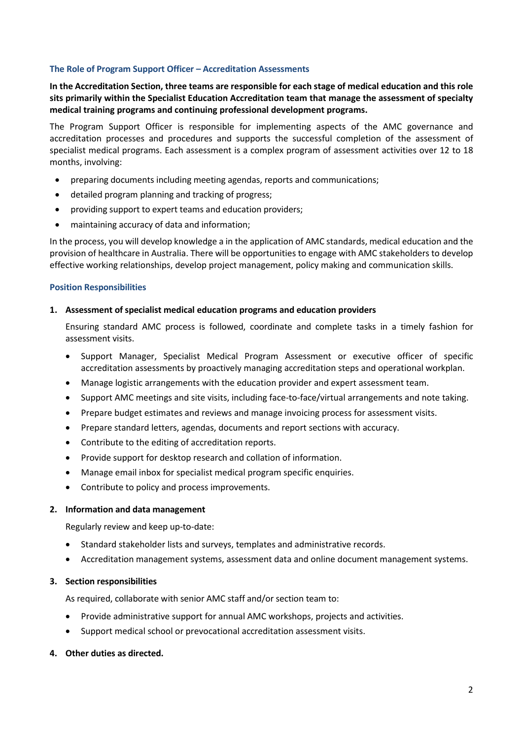### **The Role of Program Support Officer – Accreditation Assessments**

**In the Accreditation Section, three teams are responsible for each stage of medical education and this role sits primarily within the Specialist Education Accreditation team that manage the assessment of specialty medical training programs and continuing professional development programs.** 

The Program Support Officer is responsible for implementing aspects of the AMC governance and accreditation processes and procedures and supports the successful completion of the assessment of specialist medical programs. Each assessment is a complex program of assessment activities over 12 to 18 months, involving:

- preparing documents including meeting agendas, reports and communications;
- detailed program planning and tracking of progress;
- providing support to expert teams and education providers;
- maintaining accuracy of data and information;

In the process, you will develop knowledge a in the application of AMC standards, medical education and the provision of healthcare in Australia. There will be opportunities to engage with AMC stakeholders to develop effective working relationships, develop project management, policy making and communication skills.

### **Position Responsibilities**

### **1. Assessment of specialist medical education programs and education providers**

Ensuring standard AMC process is followed, coordinate and complete tasks in a timely fashion for assessment visits.

- Support Manager, Specialist Medical Program Assessment or executive officer of specific accreditation assessments by proactively managing accreditation steps and operational workplan.
- Manage logistic arrangements with the education provider and expert assessment team.
- Support AMC meetings and site visits, including face-to-face/virtual arrangements and note taking.
- Prepare budget estimates and reviews and manage invoicing process for assessment visits.
- Prepare standard letters, agendas, documents and report sections with accuracy.
- Contribute to the editing of accreditation reports.
- Provide support for desktop research and collation of information.
- Manage email inbox for specialist medical program specific enquiries.
- Contribute to policy and process improvements.

### **2. Information and data management**

Regularly review and keep up-to-date:

- Standard stakeholder lists and surveys, templates and administrative records.
- Accreditation management systems, assessment data and online document management systems.

### **3. Section responsibilities**

As required, collaborate with senior AMC staff and/or section team to:

- Provide administrative support for annual AMC workshops, projects and activities.
- Support medical school or prevocational accreditation assessment visits.

### **4. Other duties as directed.**